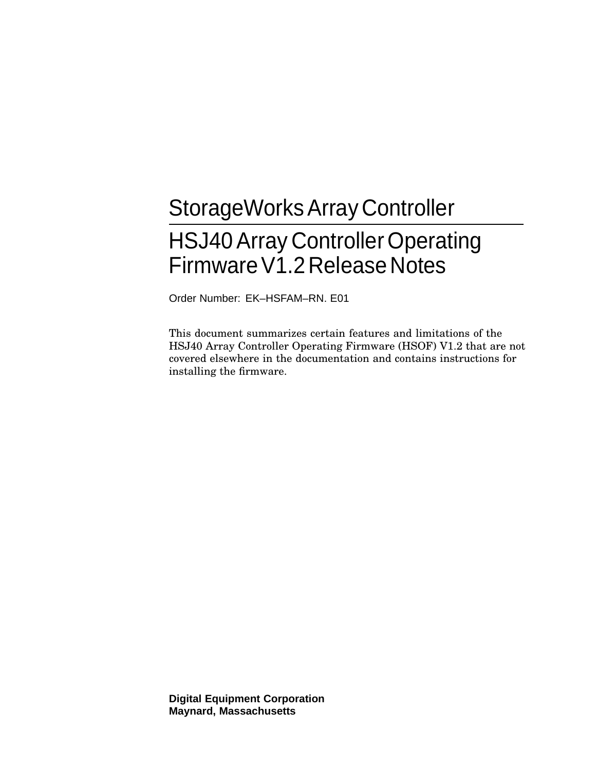# StorageWorksArray Controller HSJ40 Array Controller Operating FirmwareV1.2 Release Notes

Order Number: EK–HSFAM–RN. E01

This document summarizes certain features and limitations of the HSJ40 Array Controller Operating Firmware (HSOF) V1.2 that are not covered elsewhere in the documentation and contains instructions for installing the firmware.

**Digital Equipment Corporation Maynard, Massachusetts**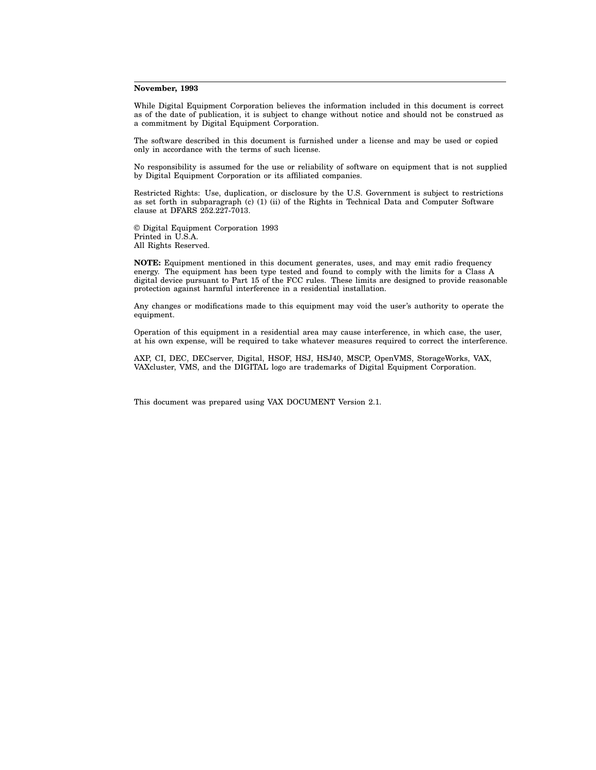#### **November, 1993**

While Digital Equipment Corporation believes the information included in this document is correct as of the date of publication, it is subject to change without notice and should not be construed as a commitment by Digital Equipment Corporation.

The software described in this document is furnished under a license and may be used or copied only in accordance with the terms of such license.

No responsibility is assumed for the use or reliability of software on equipment that is not supplied by Digital Equipment Corporation or its affiliated companies.

Restricted Rights: Use, duplication, or disclosure by the U.S. Government is subject to restrictions as set forth in subparagraph (c) (1) (ii) of the Rights in Technical Data and Computer Software clause at DFARS 252.227-7013.

© Digital Equipment Corporation 1993 Printed in U.S.A. All Rights Reserved.

**NOTE:** Equipment mentioned in this document generates, uses, and may emit radio frequency energy. The equipment has been type tested and found to comply with the limits for a Class A digital device pursuant to Part 15 of the FCC rules. These limits are designed to provide reasonable protection against harmful interference in a residential installation.

Any changes or modifications made to this equipment may void the user's authority to operate the equipment.

Operation of this equipment in a residential area may cause interference, in which case, the user, at his own expense, will be required to take whatever measures required to correct the interference.

AXP, CI, DEC, DECserver, Digital, HSOF, HSJ, HSJ40, MSCP, OpenVMS, StorageWorks, VAX, VAXcluster, VMS, and the DIGITAL logo are trademarks of Digital Equipment Corporation.

This document was prepared using VAX DOCUMENT Version 2.1.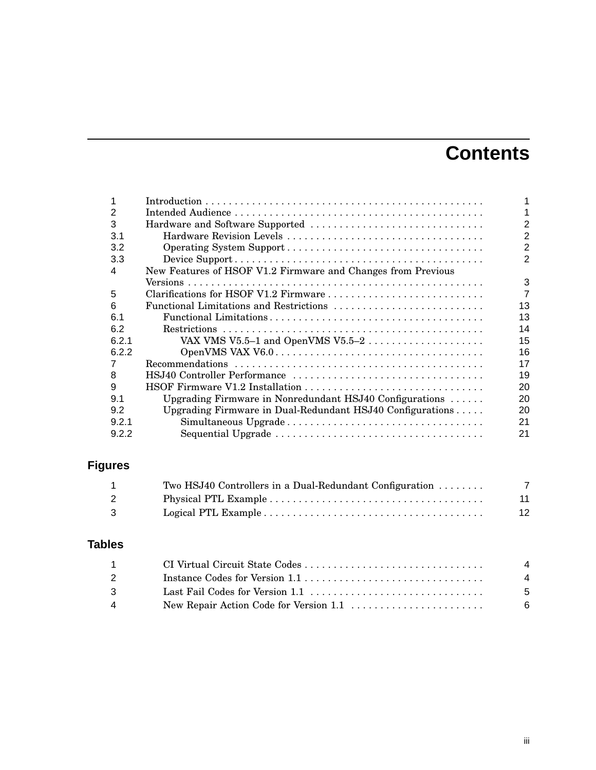## **Contents**

| 2     |                                                              |                |
|-------|--------------------------------------------------------------|----------------|
| 3     | Hardware and Software Supported                              | $\overline{2}$ |
| 3.1   |                                                              | $\overline{c}$ |
| 3.2   |                                                              | $\overline{2}$ |
| 3.3   |                                                              | 2              |
| 4     | New Features of HSOF V1.2 Firmware and Changes from Previous |                |
|       |                                                              | 3              |
| 5     |                                                              | $\overline{7}$ |
| 6     | Functional Limitations and Restrictions                      | 13             |
| 6.1   |                                                              | 13             |
| 6.2   |                                                              | 14             |
| 6.2.1 |                                                              | 15             |
| 6.2.2 |                                                              | 16             |
|       |                                                              | 17             |
| 8     |                                                              | 19             |
| 9     |                                                              | 20             |
| 9.1   | Upgrading Firmware in Nonredundant HSJ40 Configurations      | 20             |
| 9.2   | Upgrading Firmware in Dual-Redundant HSJ40 Configurations    | 20             |
| 9.2.1 |                                                              | 21             |
| 9.2.2 |                                                              | 21             |

## **Figures**

| Two HSJ40 Controllers in a Dual-Redundant Configuration $\dots \dots$ |    |
|-----------------------------------------------------------------------|----|
|                                                                       | 11 |
|                                                                       | 12 |

## **Tables**

| $1 \quad \blacksquare$ | $\overline{a}$ |
|------------------------|----------------|
| $\mathcal{P}$          | 4              |
| $\mathcal{R}$          | - 5            |
| 4                      | - 6            |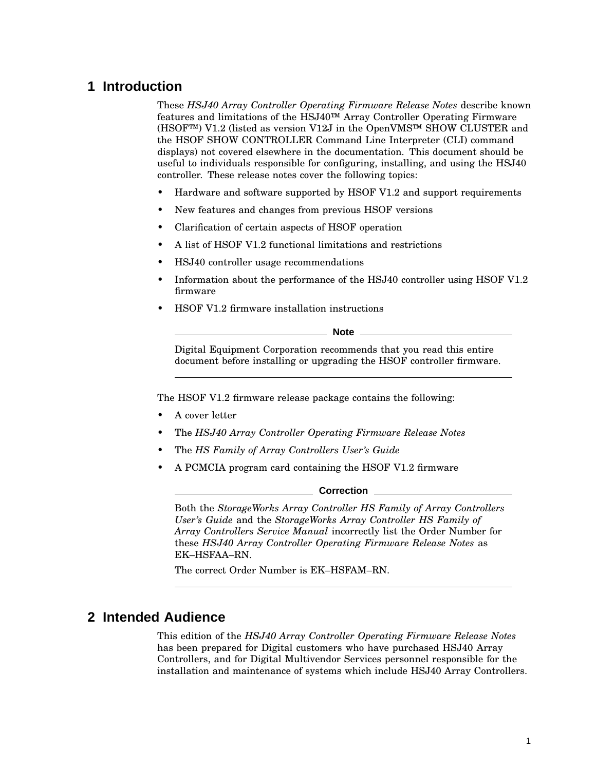## **1 Introduction**

These *HSJ40 Array Controller Operating Firmware Release Notes* describe known features and limitations of the HSJ40™ Array Controller Operating Firmware (HSOF™) V1.2 (listed as version V12J in the OpenVMS™ SHOW CLUSTER and the HSOF SHOW CONTROLLER Command Line Interpreter (CLI) command displays) not covered elsewhere in the documentation. This document should be useful to individuals responsible for configuring, installing, and using the HSJ40 controller. These release notes cover the following topics:

- Hardware and software supported by HSOF V1.2 and support requirements
- New features and changes from previous HSOF versions
- Clarification of certain aspects of HSOF operation
- A list of HSOF V1.2 functional limitations and restrictions
- HSJ40 controller usage recommendations
- Information about the performance of the HSJ40 controller using HSOF V1.2 firmware
- HSOF V1.2 firmware installation instructions

**Note**

Digital Equipment Corporation recommends that you read this entire document before installing or upgrading the HSOF controller firmware.

The HSOF V1.2 firmware release package contains the following:

- A cover letter
- The *HSJ40 Array Controller Operating Firmware Release Notes*
- The *HS Family of Array Controllers User's Guide*
- A PCMCIA program card containing the HSOF V1.2 firmware

**Correction**

Both the *StorageWorks Array Controller HS Family of Array Controllers User's Guide* and the *StorageWorks Array Controller HS Family of Array Controllers Service Manual* incorrectly list the Order Number for these *HSJ40 Array Controller Operating Firmware Release Notes* as EK–HSFAA–RN.

The correct Order Number is EK–HSFAM–RN.

## **2 Intended Audience**

This edition of the *HSJ40 Array Controller Operating Firmware Release Notes* has been prepared for Digital customers who have purchased HSJ40 Array Controllers, and for Digital Multivendor Services personnel responsible for the installation and maintenance of systems which include HSJ40 Array Controllers.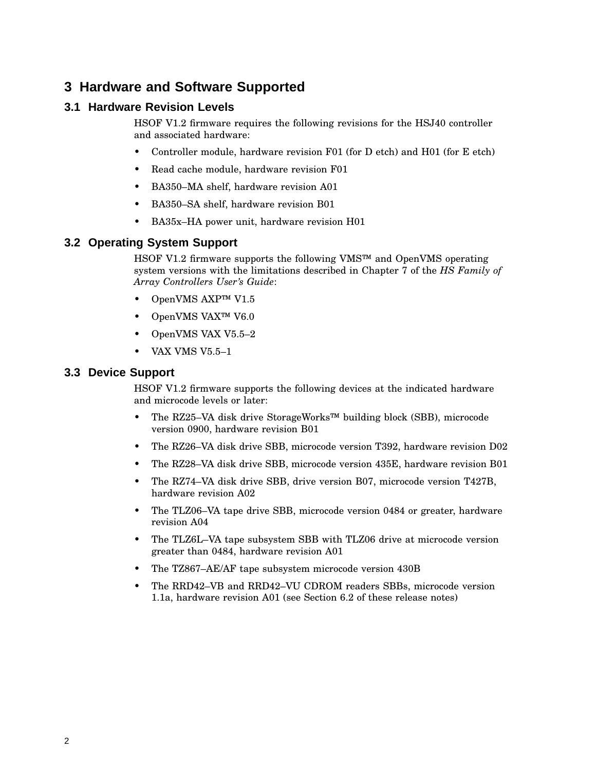## **3 Hardware and Software Supported**

### **3.1 Hardware Revision Levels**

HSOF V1.2 firmware requires the following revisions for the HSJ40 controller and associated hardware:

- Controller module, hardware revision F01 (for D etch) and H01 (for E etch)
- Read cache module, hardware revision F01
- BA350–MA shelf, hardware revision A01
- BA350–SA shelf, hardware revision B01
- BA35x–HA power unit, hardware revision H01

#### **3.2 Operating System Support**

HSOF V1.2 firmware supports the following VMS™ and OpenVMS operating system versions with the limitations described in Chapter 7 of the *HS Family of Array Controllers User's Guide*:

- OpenVMS AXP™ V1.5
- OpenVMS VAX™ V6.0
- OpenVMS VAX V5.5–2
- VAX VMS V5.5–1

#### **3.3 Device Support**

HSOF V1.2 firmware supports the following devices at the indicated hardware and microcode levels or later:

- The RZ25–VA disk drive StorageWorks™ building block (SBB), microcode version 0900, hardware revision B01
- The RZ26–VA disk drive SBB, microcode version T392, hardware revision D02
- The RZ28–VA disk drive SBB, microcode version 435E, hardware revision B01
- The RZ74–VA disk drive SBB, drive version B07, microcode version T427B, hardware revision A02
- The TLZ06–VA tape drive SBB, microcode version 0484 or greater, hardware revision A04
- The TLZ6L–VA tape subsystem SBB with TLZ06 drive at microcode version greater than 0484, hardware revision A01
- The TZ867–AE/AF tape subsystem microcode version 430B
- The RRD42–VB and RRD42–VU CDROM readers SBBs, microcode version 1.1a, hardware revision A01 (see Section 6.2 of these release notes)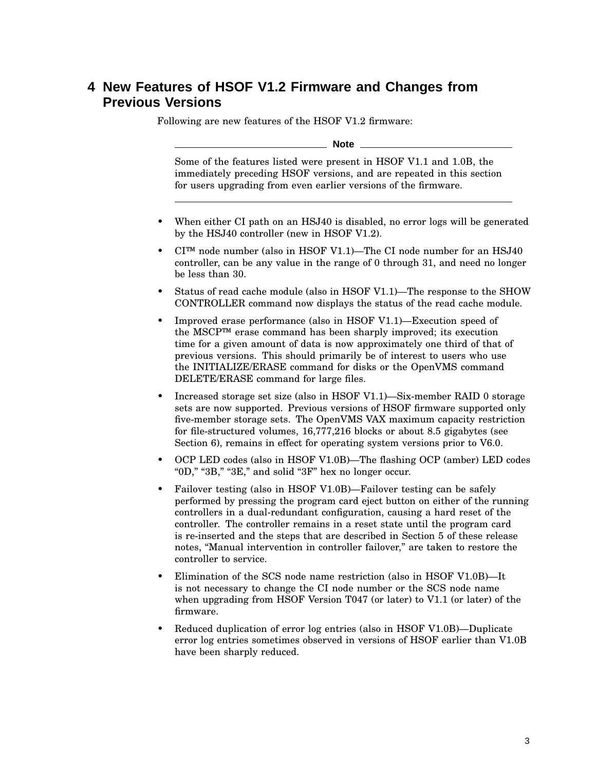## **4 New Features of HSOF V1.2 Firmware and Changes from Previous Versions**

Following are new features of the HSOF V1.2 firmware:

**Note**

Some of the features listed were present in HSOF V1.1 and 1.0B, the immediately preceding HSOF versions, and are repeated in this section for users upgrading from even earlier versions of the firmware.

- When either CI path on an HSJ40 is disabled, no error logs will be generated by the HSJ40 controller (new in HSOF V1.2).
- CI™ node number (also in HSOF V1.1)—The CI node number for an HSJ40 controller, can be any value in the range of 0 through 31, and need no longer be less than 30.
- Status of read cache module (also in HSOF V1.1)—The response to the SHOW CONTROLLER command now displays the status of the read cache module.
- Improved erase performance (also in HSOF V1.1)—Execution speed of the MSCP™ erase command has been sharply improved; its execution time for a given amount of data is now approximately one third of that of previous versions. This should primarily be of interest to users who use the INITIALIZE/ERASE command for disks or the OpenVMS command DELETE/ERASE command for large files.
- Increased storage set size (also in HSOF V1.1)—Six-member RAID 0 storage sets are now supported. Previous versions of HSOF firmware supported only five-member storage sets. The OpenVMS VAX maximum capacity restriction for file-structured volumes, 16,777,216 blocks or about 8.5 gigabytes (see Section 6), remains in effect for operating system versions prior to V6.0.
- OCP LED codes (also in HSOF V1.0B)—The flashing OCP (amber) LED codes " $0D$ ," " $3B$ ," " $3E$ ," and solid " $3F$ " hex no longer occur.
- Failover testing (also in HSOF V1.0B)—Failover testing can be safely performed by pressing the program card eject button on either of the running controllers in a dual-redundant configuration, causing a hard reset of the controller. The controller remains in a reset state until the program card is re-inserted and the steps that are described in Section 5 of these release notes, ''Manual intervention in controller failover,'' are taken to restore the controller to service.
- Elimination of the SCS node name restriction (also in HSOF V1.0B)—It is not necessary to change the CI node number or the SCS node name when upgrading from HSOF Version T047 (or later) to V1.1 (or later) of the firmware.
- Reduced duplication of error log entries (also in HSOF V1.0B)—Duplicate error log entries sometimes observed in versions of HSOF earlier than V1.0B have been sharply reduced.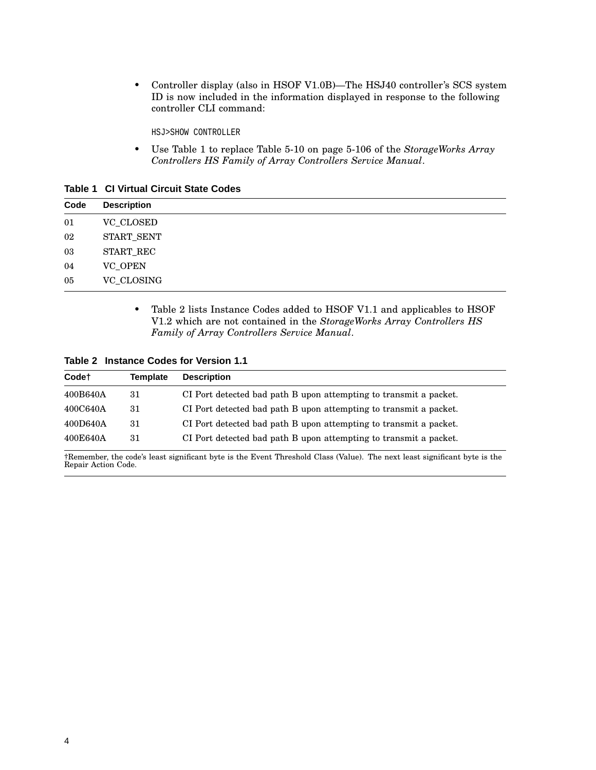• Controller display (also in HSOF V1.0B)—The HSJ40 controller's SCS system ID is now included in the information displayed in response to the following controller CLI command:

HSJ>SHOW CONTROLLER

• Use Table 1 to replace Table 5-10 on page 5-106 of the *StorageWorks Array Controllers HS Family of Array Controllers Service Manual*.

**Table 1 CI Virtual Circuit State Codes**

| Code | <b>Description</b> |
|------|--------------------|
| 01   | <b>VC_CLOSED</b>   |
| 02   | START_SENT         |
| 03   | START_REC          |
| 04   | <b>VC_OPEN</b>     |
| 05   | VC_CLOSING         |

• Table 2 lists Instance Codes added to HSOF V1.1 and applicables to HSOF V1.2 which are not contained in the *StorageWorks Array Controllers HS Family of Array Controllers Service Manual*.

**Table 2 Instance Codes for Version 1.1**

| <b>Description</b><br>Template |                                                                   |
|--------------------------------|-------------------------------------------------------------------|
|                                | CI Port detected bad path B upon attempting to transmit a packet. |
|                                | CI Port detected bad path B upon attempting to transmit a packet. |
|                                | CI Port detected bad path B upon attempting to transmit a packet. |
|                                | CI Port detected bad path B upon attempting to transmit a packet. |
|                                |                                                                   |

†Remember, the code's least significant byte is the Event Threshold Class (Value). The next least significant byte is the Repair Action Code.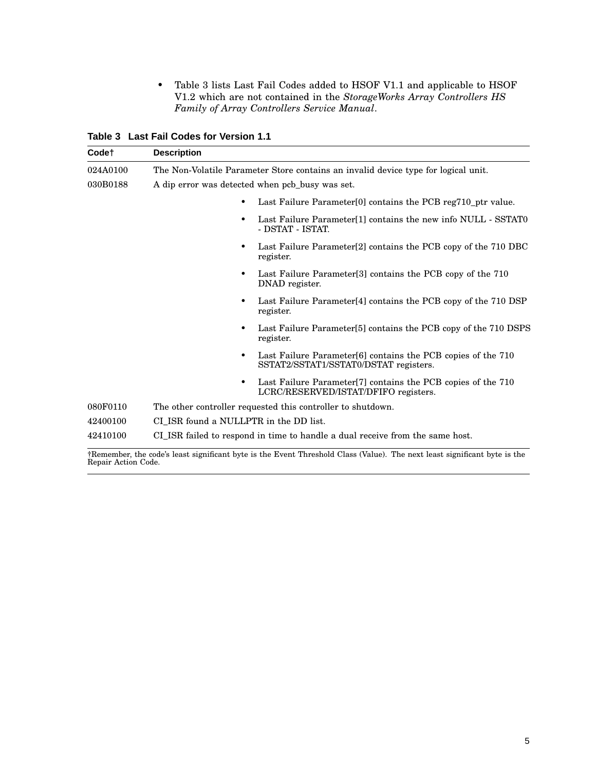• Table 3 lists Last Fail Codes added to HSOF V1.1 and applicable to HSOF V1.2 which are not contained in the *StorageWorks Array Controllers HS Family of Array Controllers Service Manual*.

**Table 3 Last Fail Codes for Version 1.1**

| <b>Codet</b>                                                | <b>Description</b>                                                                                                            |  |  |
|-------------------------------------------------------------|-------------------------------------------------------------------------------------------------------------------------------|--|--|
| 024A0100                                                    | The Non-Volatile Parameter Store contains an invalid device type for logical unit.                                            |  |  |
| 030B0188<br>A dip error was detected when pcb_busy was set. |                                                                                                                               |  |  |
|                                                             | Last Failure Parameter <sup>[0]</sup> contains the PCB reg710 ptr value.<br>٠                                                 |  |  |
|                                                             | Last Failure Parameter[1] contains the new info NULL - SSTAT0<br>$\bullet$<br>- DSTAT - ISTAT.                                |  |  |
|                                                             | Last Failure Parameter <sup>[2]</sup> contains the PCB copy of the 710 DBC<br>register.                                       |  |  |
|                                                             | Last Failure Parameter <sup>[3]</sup> contains the PCB copy of the 710<br>٠<br>DNAD register.                                 |  |  |
|                                                             | Last Failure Parameter <sup>[4]</sup> contains the PCB copy of the 710 DSP<br>٠<br>register.                                  |  |  |
|                                                             | Last Failure Parameter[5] contains the PCB copy of the 710 DSPS<br>register.                                                  |  |  |
|                                                             | Last Failure Parameter[6] contains the PCB copies of the 710<br>٠<br>SSTAT2/SSTAT1/SSTAT0/DSTAT registers.                    |  |  |
|                                                             | Last Failure Parameter <sup>[7]</sup> contains the PCB copies of the 710<br>$\bullet$<br>LCRC/RESERVED/ISTAT/DFIFO registers. |  |  |
| 080F0110                                                    | The other controller requested this controller to shutdown.                                                                   |  |  |
| 42400100                                                    | CI ISR found a NULLPTR in the DD list.                                                                                        |  |  |
| 42410100                                                    | CI_ISR failed to respond in time to handle a dual receive from the same host.                                                 |  |  |

†Remember, the code's least significant byte is the Event Threshold Class (Value). The next least significant byte is the Repair Action Code.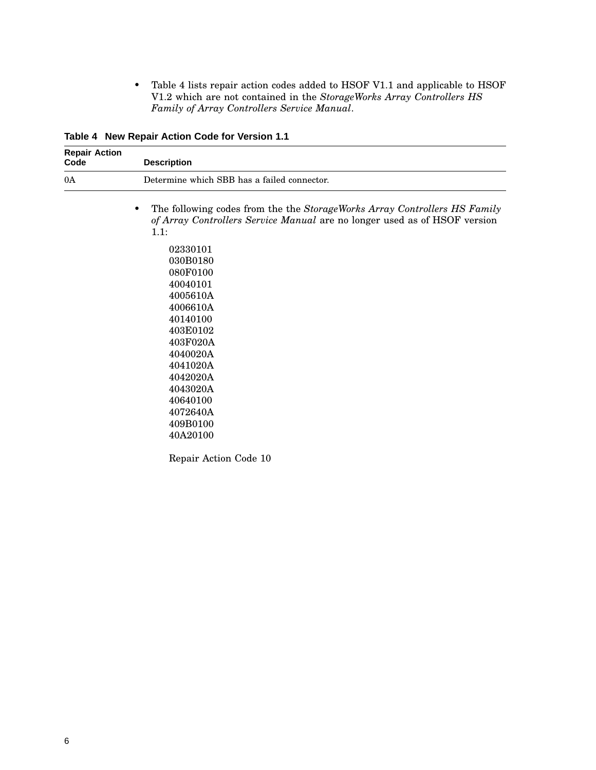• Table 4 lists repair action codes added to HSOF V1.1 and applicable to HSOF V1.2 which are not contained in the *StorageWorks Array Controllers HS Family of Array Controllers Service Manual*.

**Table 4 New Repair Action Code for Version 1.1**

| <b>Repair Action</b><br>Code | <b>Description</b>                                                                                                                                                                                                                                                                                                                                                              |  |
|------------------------------|---------------------------------------------------------------------------------------------------------------------------------------------------------------------------------------------------------------------------------------------------------------------------------------------------------------------------------------------------------------------------------|--|
| 0A                           | Determine which SBB has a failed connector.                                                                                                                                                                                                                                                                                                                                     |  |
|                              | The following codes from the the StorageWorks Array Controllers HS Family<br>٠<br>of Array Controllers Service Manual are no longer used as of HSOF version<br>1.1:<br>02330101<br>030B0180<br>080F0100<br>40040101<br>4005610A<br>4006610A<br>40140100<br>403E0102<br>403F020A<br>4040020A<br>4041020A<br>4042020A<br>4043020A<br>40640100<br>4072640A<br>409B0100<br>40A20100 |  |
|                              | Repair Action Code 10                                                                                                                                                                                                                                                                                                                                                           |  |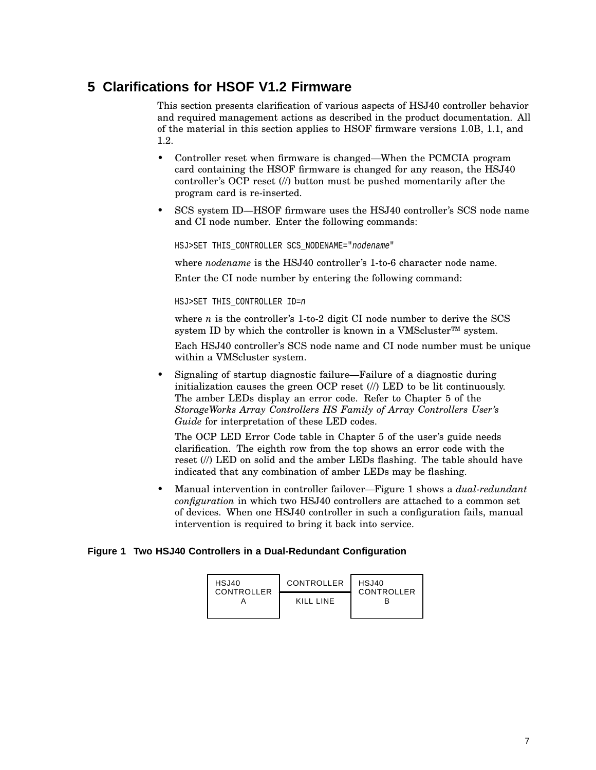## **5 Clarifications for HSOF V1.2 Firmware**

This section presents clarification of various aspects of HSJ40 controller behavior and required management actions as described in the product documentation. All of the material in this section applies to HSOF firmware versions 1.0B, 1.1, and 1.2.

- Controller reset when firmware is changed—When the PCMCIA program card containing the HSOF firmware is changed for any reason, the HSJ40 controller's OCP reset (//) button must be pushed momentarily after the program card is re-inserted.
- SCS system ID—HSOF firmware uses the HSJ40 controller's SCS node name and CI node number. Enter the following commands:

HSJ>SET THIS\_CONTROLLER SCS\_NODENAME="nodename"

where *nodename* is the HSJ40 controller's 1-to-6 character node name.

Enter the CI node number by entering the following command:

HSJ>SET THIS\_CONTROLLER ID=n

where *n* is the controller's 1-to-2 digit CI node number to derive the SCS system ID by which the controller is known in a VMScluster<sup>™</sup> system.

Each HSJ40 controller's SCS node name and CI node number must be unique within a VMScluster system.

• Signaling of startup diagnostic failure—Failure of a diagnostic during initialization causes the green OCP reset  $\langle \rangle$  LED to be lit continuously. The amber LEDs display an error code. Refer to Chapter 5 of the *StorageWorks Array Controllers HS Family of Array Controllers User's Guide* for interpretation of these LED codes.

The OCP LED Error Code table in Chapter 5 of the user's guide needs clarification. The eighth row from the top shows an error code with the reset (//) LED on solid and the amber LEDs flashing. The table should have indicated that any combination of amber LEDs may be flashing.

• Manual intervention in controller failover—Figure 1 shows a *dual-redundant configuration* in which two HSJ40 controllers are attached to a common set of devices. When one HSJ40 controller in such a configuration fails, manual intervention is required to bring it back into service.

#### **Figure 1 Two HSJ40 Controllers in a Dual-Redundant Configuration**

| HSJ40<br>CONTROLLER | CONTROLLER | HSJ40<br>CONTROLLER |
|---------------------|------------|---------------------|
|                     | KILL LINE  |                     |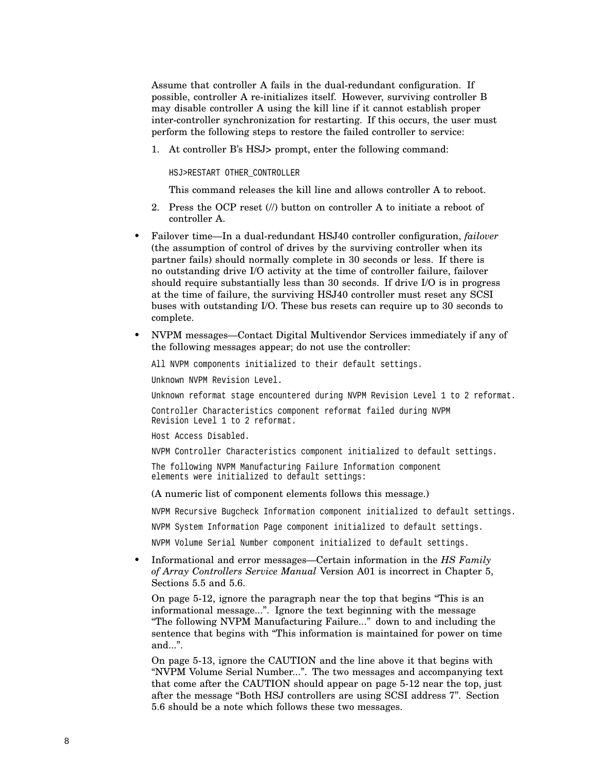Assume that controller A fails in the dual-redundant configuration. If possible, controller A re-initializes itself. However, surviving controller B may disable controller A using the kill line if it cannot establish proper inter-controller synchronization for restarting. If this occurs, the user must perform the following steps to restore the failed controller to service:

1. At controller B's HSJ> prompt, enter the following command:

HSJ>RESTART OTHER\_CONTROLLER

This command releases the kill line and allows controller A to reboot.

- 2. Press the OCP reset (//) button on controller A to initiate a reboot of controller A.
- Failover time—In a dual-redundant HSJ40 controller configuration, *failover* (the assumption of control of drives by the surviving controller when its partner fails) should normally complete in 30 seconds or less. If there is no outstanding drive I/O activity at the time of controller failure, failover should require substantially less than 30 seconds. If drive I/O is in progress at the time of failure, the surviving HSJ40 controller must reset any SCSI buses with outstanding I/O. These bus resets can require up to 30 seconds to complete.
- NVPM messages—Contact Digital Multivendor Services immediately if any of the following messages appear; do not use the controller:

All NVPM components initialized to their default settings.

Unknown NVPM Revision Level.

Unknown reformat stage encountered during NVPM Revision Level 1 to 2 reformat.

Controller Characteristics component reformat failed during NVPM Revision Level 1 to 2 reformat.

Host Access Disabled.

NVPM Controller Characteristics component initialized to default settings.

The following NVPM Manufacturing Failure Information component elements were initialized to default settings:

(A numeric list of component elements follows this message.)

NVPM Recursive Bugcheck Information component initialized to default settings.

NVPM System Information Page component initialized to default settings.

NVPM Volume Serial Number component initialized to default settings.

• Informational and error messages—Certain information in the *HS Family of Array Controllers Service Manual* Version A01 is incorrect in Chapter 5, Sections 5.5 and 5.6.

On page 5-12, ignore the paragraph near the top that begins ''This is an informational message...''. Ignore the text beginning with the message ''The following NVPM Manufacturing Failure...'' down to and including the sentence that begins with ''This information is maintained for power on time and...''.

On page 5-13, ignore the CAUTION and the line above it that begins with ''NVPM Volume Serial Number...''. The two messages and accompanying text that come after the CAUTION should appear on page 5-12 near the top, just after the message ''Both HSJ controllers are using SCSI address 7''. Section 5.6 should be a note which follows these two messages.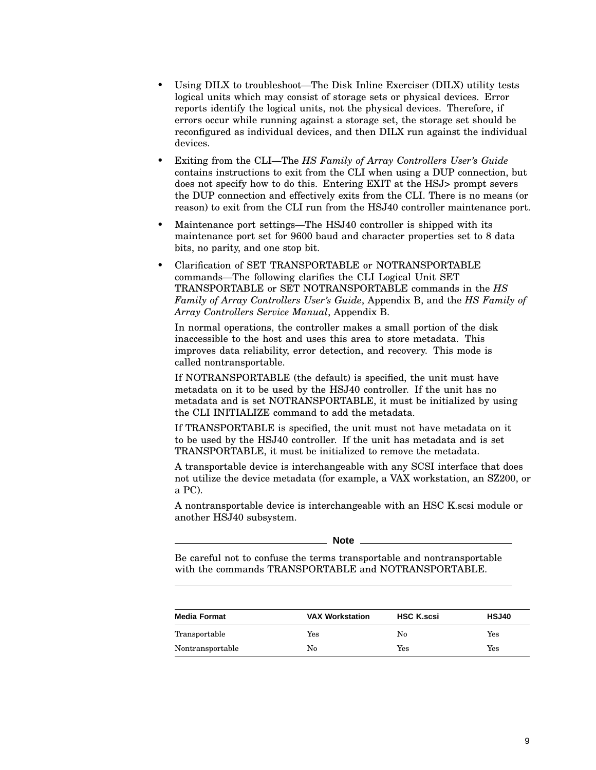- Using DILX to troubleshoot—The Disk Inline Exerciser (DILX) utility tests logical units which may consist of storage sets or physical devices. Error reports identify the logical units, not the physical devices. Therefore, if errors occur while running against a storage set, the storage set should be reconfigured as individual devices, and then DILX run against the individual devices.
- Exiting from the CLI—The *HS Family of Array Controllers User's Guide* contains instructions to exit from the CLI when using a DUP connection, but does not specify how to do this. Entering EXIT at the HSJ> prompt severs the DUP connection and effectively exits from the CLI. There is no means (or reason) to exit from the CLI run from the HSJ40 controller maintenance port.
- Maintenance port settings—The HSJ40 controller is shipped with its maintenance port set for 9600 baud and character properties set to 8 data bits, no parity, and one stop bit.
- Clarification of SET TRANSPORTABLE or NOTRANSPORTABLE commands—The following clarifies the CLI Logical Unit SET TRANSPORTABLE or SET NOTRANSPORTABLE commands in the *HS Family of Array Controllers User's Guide*, Appendix B, and the *HS Family of Array Controllers Service Manual*, Appendix B.

In normal operations, the controller makes a small portion of the disk inaccessible to the host and uses this area to store metadata. This improves data reliability, error detection, and recovery. This mode is called nontransportable.

If NOTRANSPORTABLE (the default) is specified, the unit must have metadata on it to be used by the HSJ40 controller. If the unit has no metadata and is set NOTRANSPORTABLE, it must be initialized by using the CLI INITIALIZE command to add the metadata.

If TRANSPORTABLE is specified, the unit must not have metadata on it to be used by the HSJ40 controller. If the unit has metadata and is set TRANSPORTABLE, it must be initialized to remove the metadata.

A transportable device is interchangeable with any SCSI interface that does not utilize the device metadata (for example, a VAX workstation, an SZ200, or a PC).

A nontransportable device is interchangeable with an HSC K.scsi module or another HSJ40 subsystem.

**Note**

Be careful not to confuse the terms transportable and nontransportable with the commands TRANSPORTABLE and NOTRANSPORTABLE.

| <b>Media Format</b> | <b>VAX Workstation</b> | <b>HSC K.scsi</b>    | <b>HSJ40</b> |
|---------------------|------------------------|----------------------|--------------|
| Transportable       | Yes                    | No                   | Yes          |
| Nontransportable    | No                     | $\operatorname{Yes}$ | Yes          |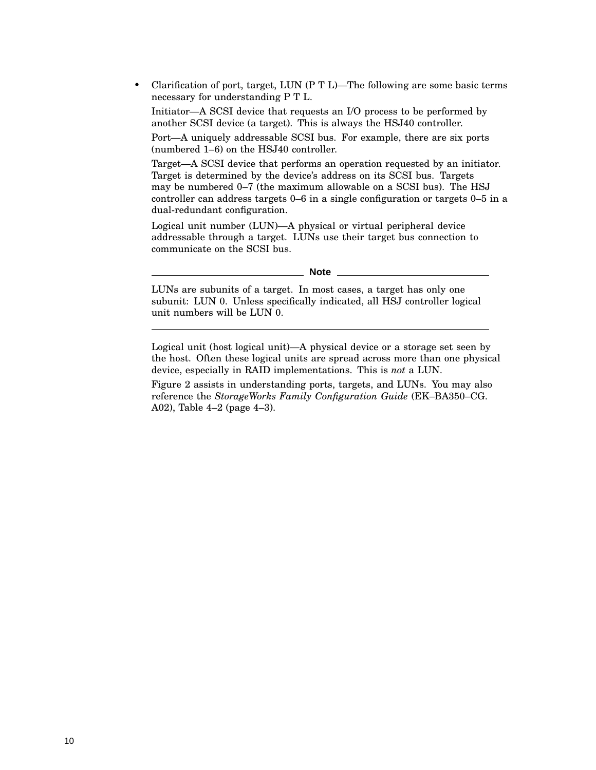• Clarification of port, target, LUN (P T L)—The following are some basic terms necessary for understanding P T L.

Initiator—A SCSI device that requests an I/O process to be performed by another SCSI device (a target). This is always the HSJ40 controller.

Port—A uniquely addressable SCSI bus. For example, there are six ports (numbered 1–6) on the HSJ40 controller.

Target—A SCSI device that performs an operation requested by an initiator. Target is determined by the device's address on its SCSI bus. Targets may be numbered 0–7 (the maximum allowable on a SCSI bus). The HSJ controller can address targets 0–6 in a single configuration or targets 0–5 in a dual-redundant configuration.

Logical unit number (LUN)—A physical or virtual peripheral device addressable through a target. LUNs use their target bus connection to communicate on the SCSI bus.

**Note** 

LUNs are subunits of a target. In most cases, a target has only one subunit: LUN 0. Unless specifically indicated, all HSJ controller logical unit numbers will be LUN 0.

Logical unit (host logical unit)—A physical device or a storage set seen by the host. Often these logical units are spread across more than one physical device, especially in RAID implementations. This is *not* a LUN.

Figure 2 assists in understanding ports, targets, and LUNs. You may also reference the *StorageWorks Family Configuration Guide* (EK–BA350–CG. A02), Table 4–2 (page 4–3).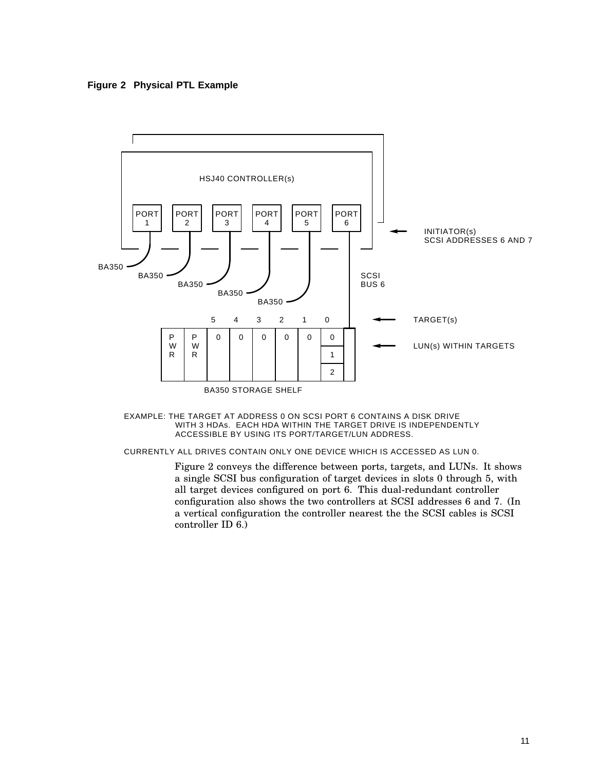**Figure 2 Physical PTL Example**



#### WITH 3 HDAs. EACH HDA WITHIN THE TARGET DRIVE IS INDEPENDENTLY ACCESSIBLE BY USING ITS PORT/TARGET/LUN ADDRESS. EXAMPLE: THE TARGET AT ADDRESS 0 ON SCSI PORT 6 CONTAINS A DISK DRIVE

CURRENTLY ALL DRIVES CONTAIN ONLY ONE DEVICE WHICH IS ACCESSED AS LUN 0.

Figure 2 conveys the difference between ports, targets, and LUNs. It shows a single SCSI bus configuration of target devices in slots 0 through 5, with all target devices configured on port 6. This dual-redundant controller configuration also shows the two controllers at SCSI addresses 6 and 7. (In a vertical configuration the controller nearest the the SCSI cables is SCSI controller ID 6.)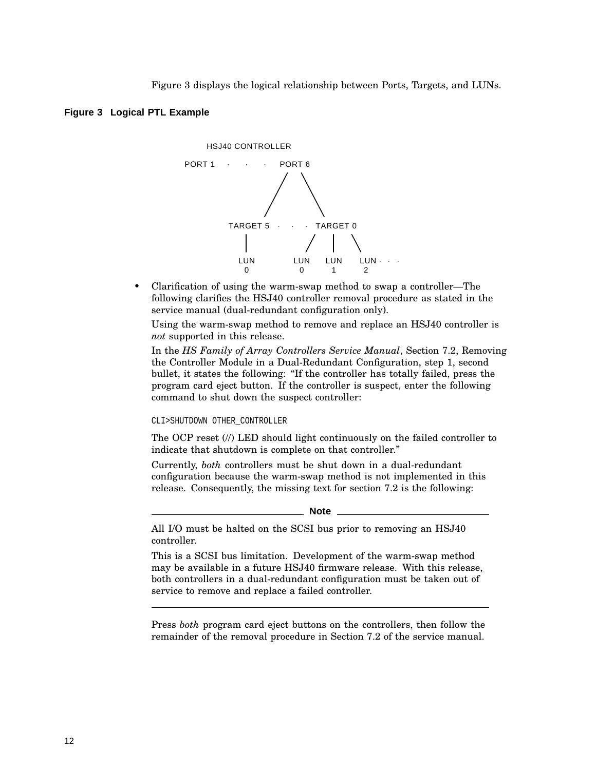Figure 3 displays the logical relationship between Ports, Targets, and LUNs.

#### **Figure 3 Logical PTL Example**



• Clarification of using the warm-swap method to swap a controller—The following clarifies the HSJ40 controller removal procedure as stated in the service manual (dual-redundant configuration only).

Using the warm-swap method to remove and replace an HSJ40 controller is *not* supported in this release.

In the *HS Family of Array Controllers Service Manual*, Section 7.2, Removing the Controller Module in a Dual-Redundant Configuration, step 1, second bullet, it states the following: ''If the controller has totally failed, press the program card eject button. If the controller is suspect, enter the following command to shut down the suspect controller:

#### CLI>SHUTDOWN OTHER\_CONTROLLER

The OCP reset (//) LED should light continuously on the failed controller to indicate that shutdown is complete on that controller.''

Currently, *both* controllers must be shut down in a dual-redundant configuration because the warm-swap method is not implemented in this release. Consequently, the missing text for section 7.2 is the following:

**Note**

All I/O must be halted on the SCSI bus prior to removing an HSJ40 controller.

This is a SCSI bus limitation. Development of the warm-swap method may be available in a future HSJ40 firmware release. With this release, both controllers in a dual-redundant configuration must be taken out of service to remove and replace a failed controller.

Press *both* program card eject buttons on the controllers, then follow the remainder of the removal procedure in Section 7.2 of the service manual.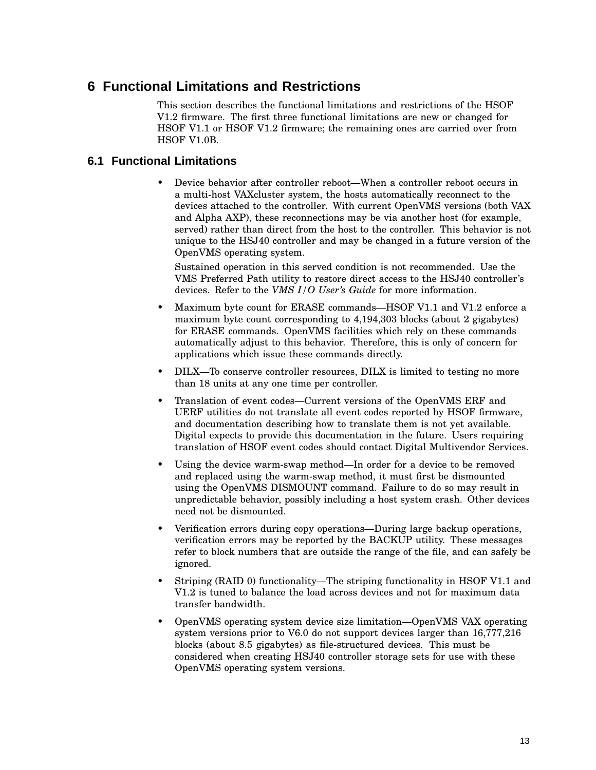## **6 Functional Limitations and Restrictions**

This section describes the functional limitations and restrictions of the HSOF V1.2 firmware. The first three functional limitations are new or changed for HSOF V1.1 or HSOF V1.2 firmware; the remaining ones are carried over from HSOF V1.0B.

#### **6.1 Functional Limitations**

• Device behavior after controller reboot—When a controller reboot occurs in a multi-host VAXcluster system, the hosts automatically reconnect to the devices attached to the controller. With current OpenVMS versions (both VAX and Alpha AXP), these reconnections may be via another host (for example, served) rather than direct from the host to the controller. This behavior is not unique to the HSJ40 controller and may be changed in a future version of the OpenVMS operating system.

Sustained operation in this served condition is not recommended. Use the VMS Preferred Path utility to restore direct access to the HSJ40 controller's devices. Refer to the *VMS I/O User's Guide* for more information.

- Maximum byte count for ERASE commands—HSOF V1.1 and V1.2 enforce a maximum byte count corresponding to 4,194,303 blocks (about 2 gigabytes) for ERASE commands. OpenVMS facilities which rely on these commands automatically adjust to this behavior. Therefore, this is only of concern for applications which issue these commands directly.
- DILX—To conserve controller resources, DILX is limited to testing no more than 18 units at any one time per controller.
- Translation of event codes—Current versions of the OpenVMS ERF and UERF utilities do not translate all event codes reported by HSOF firmware, and documentation describing how to translate them is not yet available. Digital expects to provide this documentation in the future. Users requiring translation of HSOF event codes should contact Digital Multivendor Services.
- Using the device warm-swap method—In order for a device to be removed and replaced using the warm-swap method, it must first be dismounted using the OpenVMS DISMOUNT command. Failure to do so may result in unpredictable behavior, possibly including a host system crash. Other devices need not be dismounted.
- Verification errors during copy operations—During large backup operations, verification errors may be reported by the BACKUP utility. These messages refer to block numbers that are outside the range of the file, and can safely be ignored.
- Striping (RAID 0) functionality—The striping functionality in HSOF V1.1 and V1.2 is tuned to balance the load across devices and not for maximum data transfer bandwidth.
- OpenVMS operating system device size limitation—OpenVMS VAX operating system versions prior to V6.0 do not support devices larger than 16,777,216 blocks (about 8.5 gigabytes) as file-structured devices. This must be considered when creating HSJ40 controller storage sets for use with these OpenVMS operating system versions.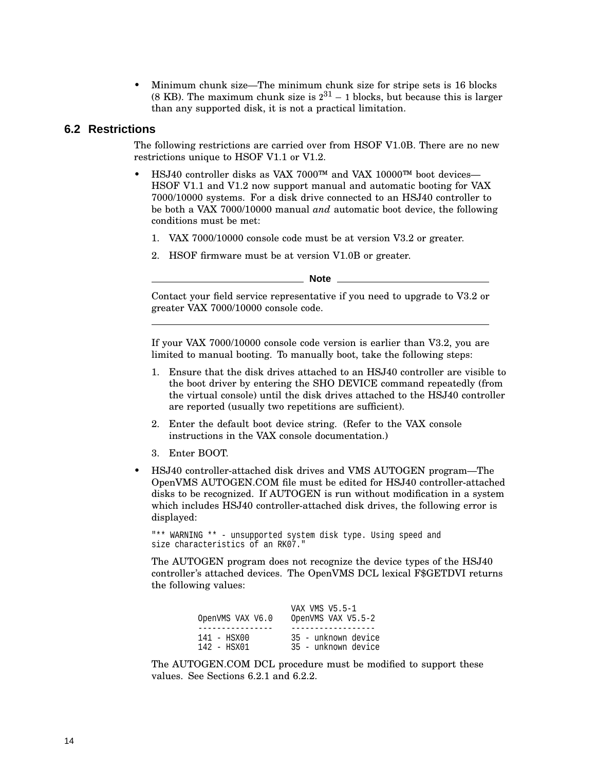• Minimum chunk size—The minimum chunk size for stripe sets is 16 blocks (8 KB). The maximum chunk size is  $2^{31}$  – 1 blocks, but because this is larger than any supported disk, it is not a practical limitation.

#### **6.2 Restrictions**

The following restrictions are carried over from HSOF V1.0B. There are no new restrictions unique to HSOF V1.1 or V1.2.

- HSJ40 controller disks as VAX 7000™ and VAX 10000™ boot devices— HSOF V1.1 and V1.2 now support manual and automatic booting for VAX 7000/10000 systems. For a disk drive connected to an HSJ40 controller to be both a VAX 7000/10000 manual *and* automatic boot device, the following conditions must be met:
	- 1. VAX 7000/10000 console code must be at version V3.2 or greater.
	- 2. HSOF firmware must be at version V1.0B or greater.

**Note**

Contact your field service representative if you need to upgrade to V3.2 or greater VAX 7000/10000 console code.

If your VAX 7000/10000 console code version is earlier than V3.2, you are limited to manual booting. To manually boot, take the following steps:

- 1. Ensure that the disk drives attached to an HSJ40 controller are visible to the boot driver by entering the SHO DEVICE command repeatedly (from the virtual console) until the disk drives attached to the HSJ40 controller are reported (usually two repetitions are sufficient).
- 2. Enter the default boot device string. (Refer to the VAX console instructions in the VAX console documentation.)
- 3. Enter BOOT.
- HSJ40 controller-attached disk drives and VMS AUTOGEN program—The OpenVMS AUTOGEN.COM file must be edited for HSJ40 controller-attached disks to be recognized. If AUTOGEN is run without modification in a system which includes HSJ40 controller-attached disk drives, the following error is displayed:

"\*\* WARNING \*\* - unsupported system disk type. Using speed and size characteristics of an RK07."

The AUTOGEN program does not recognize the device types of the HSJ40 controller's attached devices. The OpenVMS DCL lexical F\$GETDVI returns the following values:

| OpenVMS VAX V6.0 | VAX VMS V5.5-1<br>OpenVMS VAX V5.5-2 |
|------------------|--------------------------------------|
|                  |                                      |
| $141 - HSN00$    | 35 - unknown device                  |
| 142 - HSX01      | 35 - unknown device                  |

The AUTOGEN.COM DCL procedure must be modified to support these values. See Sections 6.2.1 and 6.2.2.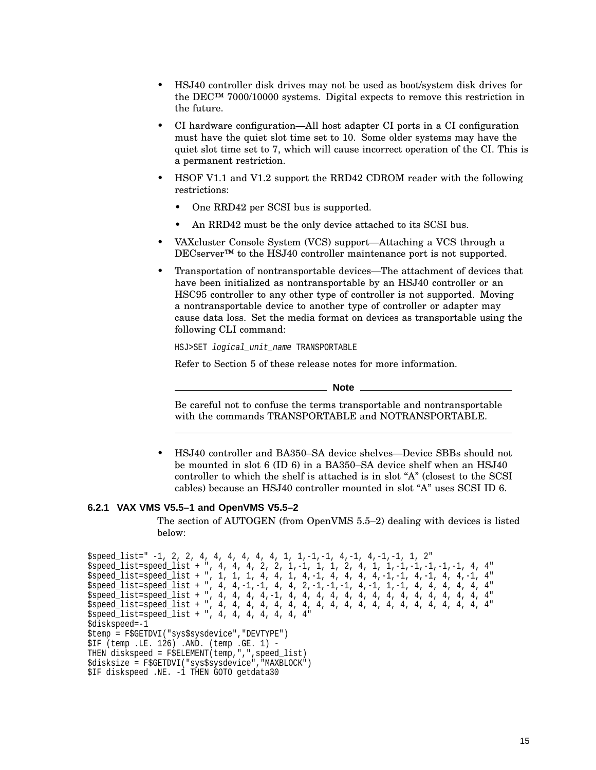- HSJ40 controller disk drives may not be used as boot/system disk drives for the DEC™ 7000/10000 systems. Digital expects to remove this restriction in the future.
- CI hardware configuration—All host adapter CI ports in a CI configuration must have the quiet slot time set to 10. Some older systems may have the quiet slot time set to 7, which will cause incorrect operation of the CI. This is a permanent restriction.
- HSOF V1.1 and V1.2 support the RRD42 CDROM reader with the following restrictions:
	- One RRD42 per SCSI bus is supported.
	- An RRD42 must be the only device attached to its SCSI bus.
- VAXcluster Console System (VCS) support—Attaching a VCS through a DECserver<sup>™</sup> to the HSJ40 controller maintenance port is not supported.
- Transportation of nontransportable devices—The attachment of devices that have been initialized as nontransportable by an HSJ40 controller or an HSC95 controller to any other type of controller is not supported. Moving a nontransportable device to another type of controller or adapter may cause data loss. Set the media format on devices as transportable using the following CLI command:

HSJ>SET logical\_unit\_name TRANSPORTABLE

Refer to Section 5 of these release notes for more information.

**Note**

Be careful not to confuse the terms transportable and nontransportable with the commands TRANSPORTABLE and NOTRANSPORTABLE.

• HSJ40 controller and BA350–SA device shelves—Device SBBs should not be mounted in slot 6 (ID 6) in a BA350–SA device shelf when an HSJ40 controller to which the shelf is attached is in slot "A" (closest to the SCSI cables) because an HSJ40 controller mounted in slot "A" uses SCSI ID  $6$ .

#### **6.2.1 VAX VMS V5.5–1 and OpenVMS V5.5–2**

The section of AUTOGEN (from OpenVMS 5.5–2) dealing with devices is listed below:

```
$speed_list=" -1, 2, 2, 4, 4, 4, 4, 4, 4, 1, 1,-1,-1, 4,-1, 4,-1,-1, 1, 2"
$speed_list=speed_list + ", 4, 4, 4, 2, 2, 1,-1, 1, 1, 2, 4, 1, 1,-1,-1,-1,-1,-1, 4, 4"
$speed_list=speed_list + ", 1, 1, 1, 4, 4, 1, 4,-1, 4, 4, 4, 4,-1,-1, 4,-1, 4, 4,-1, 4"
$speed_list=speed_list + ", 4, 4,-1,-1, 4, 4, 2,-1,-1,-1, 4,-1, 1,-1, 4, 4, 4, 4, 4, 4"
$speed_list=speed_list + ", 4, 4, 4, 4,-1, 4, 4, 4, 4, 4, 4, 4, 4, 4, 4, 4, 4, 4, 4, 4"
$speed_list=speed_list + ", 4, 4, 4, 4, 4, 4, 4, 4, 4, 4, 4, 4, 4, 4, 4, 4, 4, 4, 4, 4"
$speed_list=speed_list + ", 4, 4, 4, 4, 4, 4, 4"
$diskspeed=-1
$temp = F$GETDVI("sys$sysdevice","DEVTYPE")
$IF (temp .LE. 126) .AND. (temp .GE. 1) -
THEN diskspeed = F$ELEMENT(temp,",",speed_list)
$disksize = F$GETDVI("sys$sysdevice","MAXBLOCK")
$IF diskspeed .NE. -1 THEN GOTO getdata30
```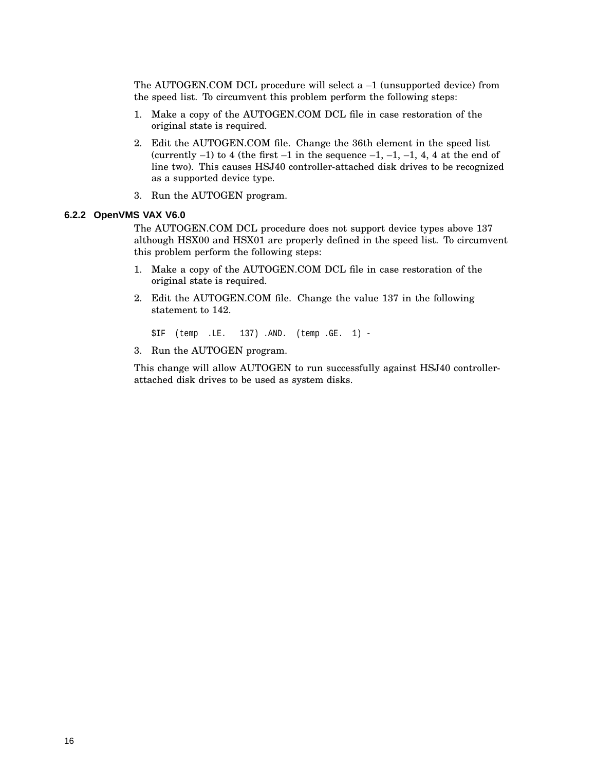The AUTOGEN.COM DCL procedure will select a –1 (unsupported device) from the speed list. To circumvent this problem perform the following steps:

- 1. Make a copy of the AUTOGEN.COM DCL file in case restoration of the original state is required.
- 2. Edit the AUTOGEN.COM file. Change the 36th element in the speed list (currently  $-1$ ) to 4 (the first  $-1$  in the sequence  $-1$ ,  $-1$ ,  $-1$ ,  $4$ ,  $4$  at the end of line two). This causes HSJ40 controller-attached disk drives to be recognized as a supported device type.
- 3. Run the AUTOGEN program.

#### **6.2.2 OpenVMS VAX V6.0**

The AUTOGEN.COM DCL procedure does not support device types above 137 although HSX00 and HSX01 are properly defined in the speed list. To circumvent this problem perform the following steps:

- 1. Make a copy of the AUTOGEN.COM DCL file in case restoration of the original state is required.
- 2. Edit the AUTOGEN.COM file. Change the value 137 in the following statement to 142.

\$IF (temp .LE. 137) .AND. (temp .GE. 1) -

3. Run the AUTOGEN program.

This change will allow AUTOGEN to run successfully against HSJ40 controllerattached disk drives to be used as system disks.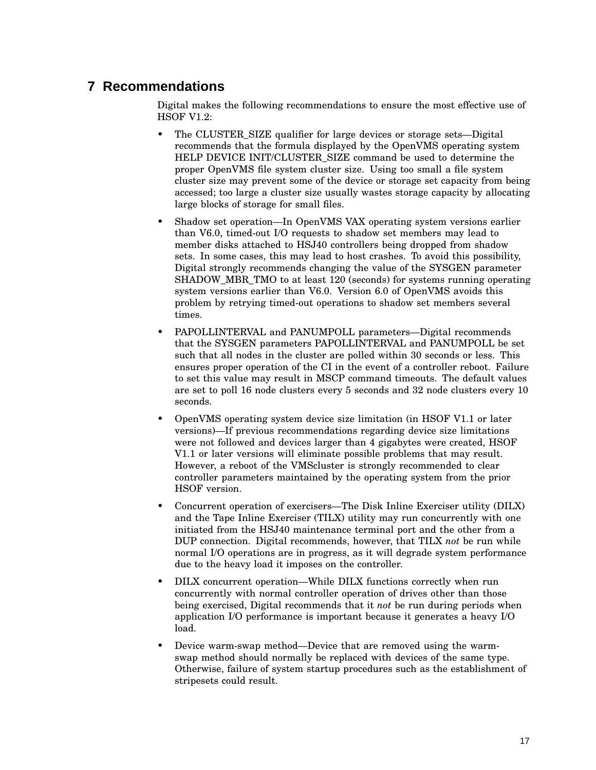## **7 Recommendations**

Digital makes the following recommendations to ensure the most effective use of HSOF V1.2:

- The CLUSTER SIZE qualifier for large devices or storage sets—Digital recommends that the formula displayed by the OpenVMS operating system HELP DEVICE INIT/CLUSTER\_SIZE command be used to determine the proper OpenVMS file system cluster size. Using too small a file system cluster size may prevent some of the device or storage set capacity from being accessed; too large a cluster size usually wastes storage capacity by allocating large blocks of storage for small files.
- Shadow set operation—In OpenVMS VAX operating system versions earlier than V6.0, timed-out I/O requests to shadow set members may lead to member disks attached to HSJ40 controllers being dropped from shadow sets. In some cases, this may lead to host crashes. To avoid this possibility, Digital strongly recommends changing the value of the SYSGEN parameter SHADOW MBR TMO to at least 120 (seconds) for systems running operating system versions earlier than V6.0. Version 6.0 of OpenVMS avoids this problem by retrying timed-out operations to shadow set members several times.
- PAPOLLINTERVAL and PANUMPOLL parameters—Digital recommends that the SYSGEN parameters PAPOLLINTERVAL and PANUMPOLL be set such that all nodes in the cluster are polled within 30 seconds or less. This ensures proper operation of the CI in the event of a controller reboot. Failure to set this value may result in MSCP command timeouts. The default values are set to poll 16 node clusters every 5 seconds and 32 node clusters every 10 seconds.
- OpenVMS operating system device size limitation (in HSOF V1.1 or later versions)—If previous recommendations regarding device size limitations were not followed and devices larger than 4 gigabytes were created, HSOF V1.1 or later versions will eliminate possible problems that may result. However, a reboot of the VMScluster is strongly recommended to clear controller parameters maintained by the operating system from the prior HSOF version.
- Concurrent operation of exercisers—The Disk Inline Exerciser utility (DILX) and the Tape Inline Exerciser (TILX) utility may run concurrently with one initiated from the HSJ40 maintenance terminal port and the other from a DUP connection. Digital recommends, however, that TILX *not* be run while normal I/O operations are in progress, as it will degrade system performance due to the heavy load it imposes on the controller.
- DILX concurrent operation—While DILX functions correctly when run concurrently with normal controller operation of drives other than those being exercised, Digital recommends that it *not* be run during periods when application I/O performance is important because it generates a heavy I/O load.
- Device warm-swap method—Device that are removed using the warmswap method should normally be replaced with devices of the same type. Otherwise, failure of system startup procedures such as the establishment of stripesets could result.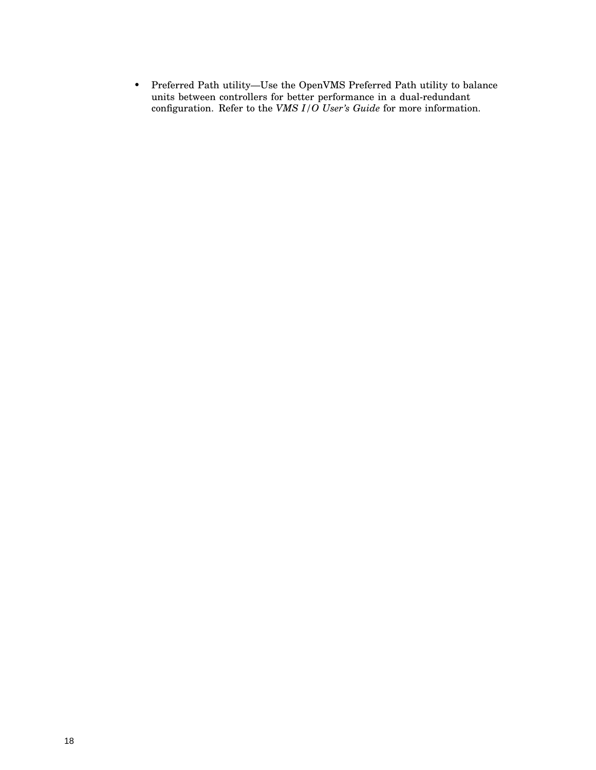• Preferred Path utility—Use the OpenVMS Preferred Path utility to balance units between controllers for better performance in a dual-redundant configuration. Refer to the *VMS I/O User's Guide* for more information.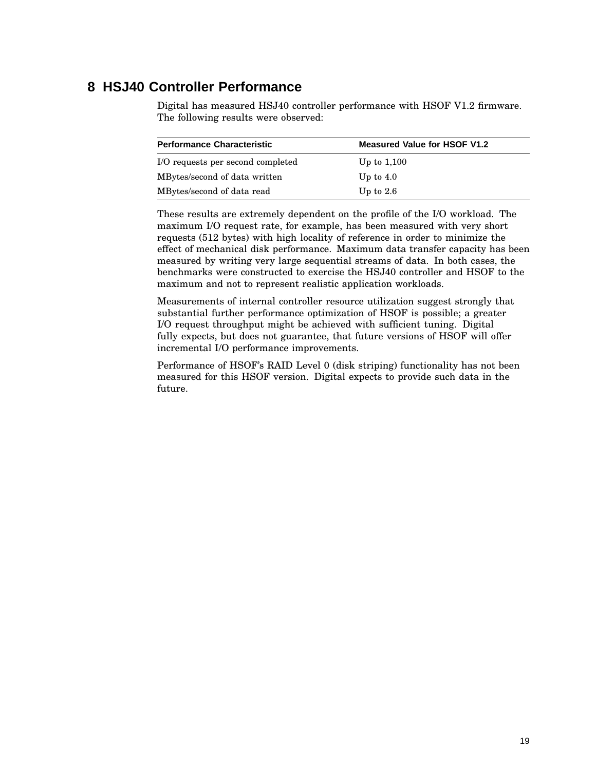## **8 HSJ40 Controller Performance**

Digital has measured HSJ40 controller performance with HSOF V1.2 firmware. The following results were observed:

| <b>Performance Characteristic</b> | <b>Measured Value for HSOF V1.2</b> |
|-----------------------------------|-------------------------------------|
| I/O requests per second completed | Up to $1,100$                       |
| MBytes/second of data written     | Up to $4.0$                         |
| MBytes/second of data read        | Up to $2.6$                         |

These results are extremely dependent on the profile of the I/O workload. The maximum I/O request rate, for example, has been measured with very short requests (512 bytes) with high locality of reference in order to minimize the effect of mechanical disk performance. Maximum data transfer capacity has been measured by writing very large sequential streams of data. In both cases, the benchmarks were constructed to exercise the HSJ40 controller and HSOF to the maximum and not to represent realistic application workloads.

Measurements of internal controller resource utilization suggest strongly that substantial further performance optimization of HSOF is possible; a greater I/O request throughput might be achieved with sufficient tuning. Digital fully expects, but does not guarantee, that future versions of HSOF will offer incremental I/O performance improvements.

Performance of HSOF's RAID Level 0 (disk striping) functionality has not been measured for this HSOF version. Digital expects to provide such data in the future.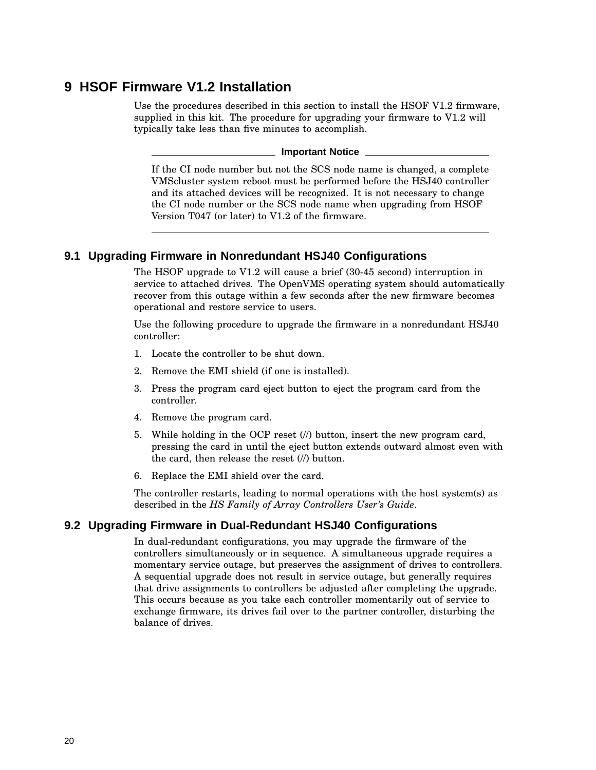## **9 HSOF Firmware V1.2 Installation**

Use the procedures described in this section to install the HSOF V1.2 firmware, supplied in this kit. The procedure for upgrading your firmware to V1.2 will typically take less than five minutes to accomplish.

**Important Notice**

If the CI node number but not the SCS node name is changed, a complete VMScluster system reboot must be performed before the HSJ40 controller and its attached devices will be recognized. It is not necessary to change the CI node number or the SCS node name when upgrading from HSOF Version T047 (or later) to V1.2 of the firmware.

#### **9.1 Upgrading Firmware in Nonredundant HSJ40 Configurations**

The HSOF upgrade to V1.2 will cause a brief (30-45 second) interruption in service to attached drives. The OpenVMS operating system should automatically recover from this outage within a few seconds after the new firmware becomes operational and restore service to users.

Use the following procedure to upgrade the firmware in a nonredundant HSJ40 controller:

- 1. Locate the controller to be shut down.
- 2. Remove the EMI shield (if one is installed).
- 3. Press the program card eject button to eject the program card from the controller.
- 4. Remove the program card.
- 5. While holding in the OCP reset (//) button, insert the new program card, pressing the card in until the eject button extends outward almost even with the card, then release the reset (//) button.
- 6. Replace the EMI shield over the card.

The controller restarts, leading to normal operations with the host system(s) as described in the *HS Family of Array Controllers User's Guide*.

#### **9.2 Upgrading Firmware in Dual-Redundant HSJ40 Configurations**

In dual-redundant configurations, you may upgrade the firmware of the controllers simultaneously or in sequence. A simultaneous upgrade requires a momentary service outage, but preserves the assignment of drives to controllers. A sequential upgrade does not result in service outage, but generally requires that drive assignments to controllers be adjusted after completing the upgrade. This occurs because as you take each controller momentarily out of service to exchange firmware, its drives fail over to the partner controller, disturbing the balance of drives.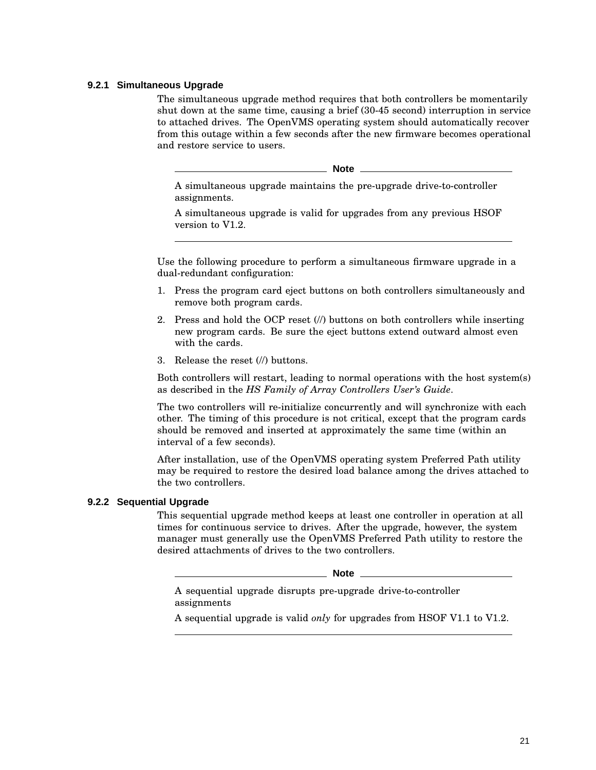#### **9.2.1 Simultaneous Upgrade**

The simultaneous upgrade method requires that both controllers be momentarily shut down at the same time, causing a brief (30-45 second) interruption in service to attached drives. The OpenVMS operating system should automatically recover from this outage within a few seconds after the new firmware becomes operational and restore service to users.

**Note**

A simultaneous upgrade maintains the pre-upgrade drive-to-controller assignments.

A simultaneous upgrade is valid for upgrades from any previous HSOF version to V1.2.

Use the following procedure to perform a simultaneous firmware upgrade in a dual-redundant configuration:

- 1. Press the program card eject buttons on both controllers simultaneously and remove both program cards.
- 2. Press and hold the OCP reset (//) buttons on both controllers while inserting new program cards. Be sure the eject buttons extend outward almost even with the cards.
- 3. Release the reset (//) buttons.

Both controllers will restart, leading to normal operations with the host system(s) as described in the *HS Family of Array Controllers User's Guide*.

The two controllers will re-initialize concurrently and will synchronize with each other. The timing of this procedure is not critical, except that the program cards should be removed and inserted at approximately the same time (within an interval of a few seconds).

After installation, use of the OpenVMS operating system Preferred Path utility may be required to restore the desired load balance among the drives attached to the two controllers.

#### **9.2.2 Sequential Upgrade**

This sequential upgrade method keeps at least one controller in operation at all times for continuous service to drives. After the upgrade, however, the system manager must generally use the OpenVMS Preferred Path utility to restore the desired attachments of drives to the two controllers.

**Note**

A sequential upgrade disrupts pre-upgrade drive-to-controller assignments

A sequential upgrade is valid *only* for upgrades from HSOF V1.1 to V1.2.